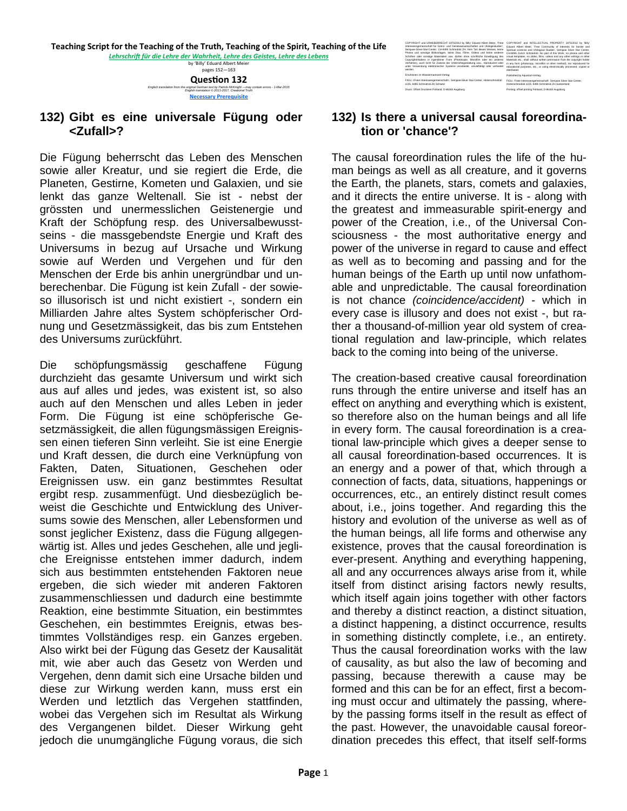by 'Billy' Eduard Albert Meier pages 152—163

**QuesƟon 132** *English translation from the original German text by Patrick McKnight —may contain errors - 1-Mar-2015 English translation © 2011-2017, Creational Truth*  **Necessary Prerequisite**

## **132) Gibt es eine universale Fügung oder <Zufall>?**

Die Fügung beherrscht das Leben des Menschen sowie aller Kreatur, und sie regiert die Erde, die Planeten, Gestirne, Kometen und Galaxien, und sie lenkt das ganze Weltenall. Sie ist - nebst der grössten und unermesslichen Geistenergie und Kraft der Schöpfung resp. des Universalbewusstseins - die massgebendste Energie und Kraft des Universums in bezug auf Ursache und Wirkung sowie auf Werden und Vergehen und für den Menschen der Erde bis anhin unergründbar und unberechenbar. Die Fügung ist kein Zufall - der sowieso illusorisch ist und nicht existiert -, sondern ein Milliarden Jahre altes System schöpferischer Ordnung und Gesetzmässigkeit, das bis zum Entstehen des Universums zurückführt.

Die schöpfungsmässig geschaffene Fügung durchzieht das gesamte Universum und wirkt sich aus auf alles und jedes, was existent ist, so also auch auf den Menschen und alles Leben in jeder Form. Die Fügung ist eine schöpferische Gesetzmässigkeit, die allen fügungsmässigen Ereignissen einen tieferen Sinn verleiht. Sie ist eine Energie und Kraft dessen, die durch eine Verknüpfung von Fakten, Daten, Situationen, Geschehen oder Ereignissen usw. ein ganz bestimmtes Resultat ergibt resp. zusammenfügt. Und diesbezüglich beweist die Geschichte und Entwicklung des Universums sowie des Menschen, aller Lebensformen und sonst jeglicher Existenz, dass die Fügung allgegenwärtig ist. Alles und jedes Geschehen, alle und jegliche Ereignisse entstehen immer dadurch, indem sich aus bestimmten entstehenden Faktoren neue ergeben, die sich wieder mit anderen Faktoren zusammenschliessen und dadurch eine bestimmte Reaktion, eine bestimmte Situation, ein bestimmtes Geschehen, ein bestimmtes Ereignis, etwas bestimmtes Vollständiges resp. ein Ganzes ergeben. Also wirkt bei der Fügung das Gesetz der Kausalität mit, wie aber auch das Gesetz von Werden und Vergehen, denn damit sich eine Ursache bilden und diese zur Wirkung werden kann, muss erst ein Werden und letztlich das Vergehen stattfinden, wobei das Vergehen sich im Resultat als Wirkung des Vergangenen bildet. Dieser Wirkung geht jedoch die unumgängliche Fügung voraus, die sich

Printing: offset printing Pohland, D-86165 Augsburg COPYRIGHT und URHEBERRECHT 1975/2012 by 'Billy' Eduard Albert Meier, 'Freie Interessengemeinschaft für Grenz- und Geisteswissenschaften und Ufologiestudien', Semjase-Silver-Star-Center, CH-8495 Schmidrüti ZH. Kein Teil dieses Werkes, keine Photos und sonstige Bildvorlagen, keine Dias, Filme, Videos und keine anderen Schriften oder sonstige Materialien usw. dürfen ohne schriftliche Einwilligung des Copyrightinhabers in irgendeiner Form (Photokopie, Mikrofilm oder ein anderes Verfahren), auch nicht für Zwecke der Unterrichtsgestaltung usw., reproduziert oder unter Verwendung elektronischer Systeme verarbeitet, vervielfältigt oder verbreitet werden. Erschienen im Wassermannzeit-Verlag: FIGU, <Freie Interessengemeinschaft>, Semjase-Silver-Star-Center, Hinterschmidrüti 1225, 8495 Schmidrüti ZH Schweiz Druck: Offset Druckerei Pohland, D-86165 Augsburg

COPYRIGHT and INTELLECTUAL PROPERTY 1975/2012 by 'Billy' Eduard Albert Meier, 'Free Community of Interests for border and Spiritual sciences and Ufological Studies', Semjase Silver Star Center, CH-8495 Zurich Schmidrüti. No part of this Work, no photos and other visual templates, no slides, films, videos and any other writings or other Materials etc., shall without written permission from the copyright holder in any form (photocopy, microfilm or other method), nor reproduced for educational purposes, etc., or using electronically processed, copied or distributed. Published by Aquarian-Verlag: FIGU, 'Freie Interessengemeinschaft', Semjase Silver Star Center, Hinterschmidrüti 1225, 8495 Schmidrüti ZH Switzerland

## **132) Is there a universal causal foreordination or 'chance'?**

The causal foreordination rules the life of the human beings as well as all creature, and it governs the Earth, the planets, stars, comets and galaxies, and it directs the entire universe. It is - along with the greatest and immeasurable spirit-energy and power of the Creation, i.e., of the Universal Consciousness - the most authoritative energy and power of the universe in regard to cause and effect as well as to becoming and passing and for the human beings of the Earth up until now unfathomable and unpredictable. The causal foreordination is not chance *(coincidence/accident)* - which in every case is illusory and does not exist -, but rather a thousand-of-million year old system of creational regulation and law-principle, which relates back to the coming into being of the universe.

The creation-based creative causal foreordination runs through the entire universe and itself has an effect on anything and everything which is existent, so therefore also on the human beings and all life in every form. The causal foreordination is a creational law-principle which gives a deeper sense to all causal foreordination-based occurrences. It is an energy and a power of that, which through a connection of facts, data, situations, happenings or occurrences, etc., an entirely distinct result comes about, i.e., joins together. And regarding this the history and evolution of the universe as well as of the human beings, all life forms and otherwise any existence, proves that the causal foreordination is ever-present. Anything and everything happening, all and any occurrences always arise from it, while itself from distinct arising factors newly results, which itself again joins together with other factors and thereby a distinct reaction, a distinct situation, a distinct happening, a distinct occurrence, results in something distinctly complete, i.e., an entirety. Thus the causal foreordination works with the law of causality, as but also the law of becoming and passing, because therewith a cause may be formed and this can be for an effect, first a becoming must occur and ultimately the passing, whereby the passing forms itself in the result as effect of the past. However, the unavoidable causal foreordination precedes this effect, that itself self-forms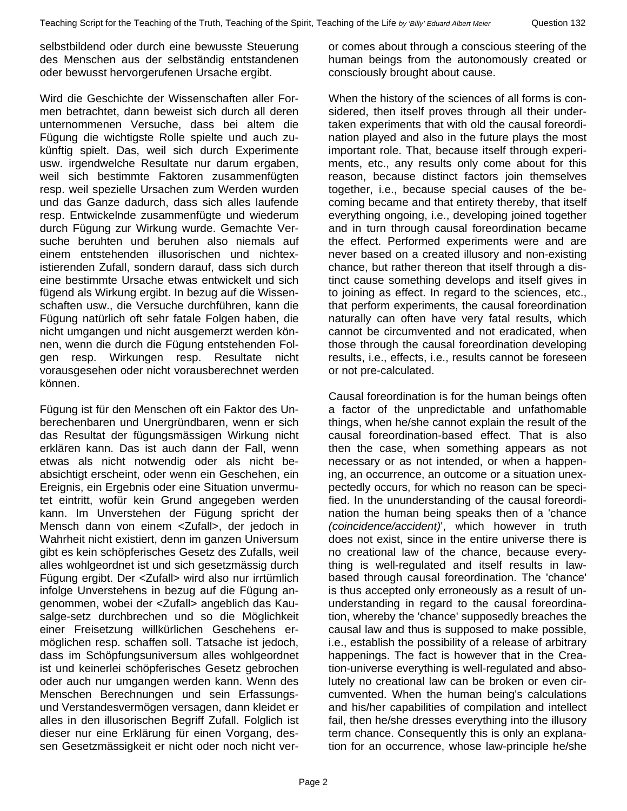selbstbildend oder durch eine bewusste Steuerung des Menschen aus der selbständig entstandenen oder bewusst hervorgerufenen Ursache ergibt.

Wird die Geschichte der Wissenschaften aller Formen betrachtet, dann beweist sich durch all deren unternommenen Versuche, dass bei altem die Fügung die wichtigste Rolle spielte und auch zukünftig spielt. Das, weil sich durch Experimente usw. irgendwelche Resultate nur darum ergaben, weil sich bestimmte Faktoren zusammenfügten resp. weil spezielle Ursachen zum Werden wurden und das Ganze dadurch, dass sich alles laufende resp. Entwickelnde zusammenfügte und wiederum durch Fügung zur Wirkung wurde. Gemachte Versuche beruhten und beruhen also niemals auf einem entstehenden illusorischen und nichtexistierenden Zufall, sondern darauf, dass sich durch eine bestimmte Ursache etwas entwickelt und sich fügend als Wirkung ergibt. In bezug auf die Wissenschaften usw., die Versuche durchführen, kann die Fügung natürlich oft sehr fatale Folgen haben, die nicht umgangen und nicht ausgemerzt werden können, wenn die durch die Fügung entstehenden Folgen resp. Wirkungen resp. Resultate nicht vorausgesehen oder nicht vorausberechnet werden können.

Fügung ist für den Menschen oft ein Faktor des Unberechenbaren und Unergründbaren, wenn er sich das Resultat der fügungsmässigen Wirkung nicht erklären kann. Das ist auch dann der Fall, wenn etwas als nicht notwendig oder als nicht beabsichtigt erscheint, oder wenn ein Geschehen, ein Ereignis, ein Ergebnis oder eine Situation unvermutet eintritt, wofür kein Grund angegeben werden kann. Im Unverstehen der Fügung spricht der Mensch dann von einem <Zufall>, der jedoch in Wahrheit nicht existiert, denn im ganzen Universum gibt es kein schöpferisches Gesetz des Zufalls, weil alles wohlgeordnet ist und sich gesetzmässig durch Fügung ergibt. Der <Zufall> wird also nur irrtümlich infolge Unverstehens in bezug auf die Fügung angenommen, wobei der <Zufall> angeblich das Kausalge-setz durchbrechen und so die Möglichkeit einer Freisetzung willkürlichen Geschehens ermöglichen resp. schaffen soll. Tatsache ist jedoch, dass im Schöpfungsuniversum alles wohlgeordnet ist und keinerlei schöpferisches Gesetz gebrochen oder auch nur umgangen werden kann. Wenn des Menschen Berechnungen und sein Erfassungsund Verstandesvermögen versagen, dann kleidet er alles in den illusorischen Begriff Zufall. Folglich ist dieser nur eine Erklärung für einen Vorgang, dessen Gesetzmässigkeit er nicht oder noch nicht veror comes about through a conscious steering of the human beings from the autonomously created or consciously brought about cause.

When the history of the sciences of all forms is considered, then itself proves through all their undertaken experiments that with old the causal foreordination played and also in the future plays the most important role. That, because itself through experiments, etc., any results only come about for this reason, because distinct factors join themselves together, i.e., because special causes of the becoming became and that entirety thereby, that itself everything ongoing, i.e., developing joined together and in turn through causal foreordination became the effect. Performed experiments were and are never based on a created illusory and non-existing chance, but rather thereon that itself through a distinct cause something develops and itself gives in to joining as effect. In regard to the sciences, etc., that perform experiments, the causal foreordination naturally can often have very fatal results, which cannot be circumvented and not eradicated, when those through the causal foreordination developing results, i.e., effects, i.e., results cannot be foreseen or not pre-calculated.

Causal foreordination is for the human beings often a factor of the unpredictable and unfathomable things, when he/she cannot explain the result of the causal foreordination-based effect. That is also then the case, when something appears as not necessary or as not intended, or when a happening, an occurrence, an outcome or a situation unexpectedly occurs, for which no reason can be specified. In the ununderstanding of the causal foreordination the human being speaks then of a 'chance *(coincidence/accident)*', which however in truth does not exist, since in the entire universe there is no creational law of the chance, because everything is well-regulated and itself results in lawbased through causal foreordination. The 'chance' is thus accepted only erroneously as a result of ununderstanding in regard to the causal foreordination, whereby the 'chance' supposedly breaches the causal law and thus is supposed to make possible, i.e., establish the possibility of a release of arbitrary happenings. The fact is however that in the Creation-universe everything is well-regulated and absolutely no creational law can be broken or even circumvented. When the human being's calculations and his/her capabilities of compilation and intellect fail, then he/she dresses everything into the illusory term chance. Consequently this is only an explanation for an occurrence, whose law-principle he/she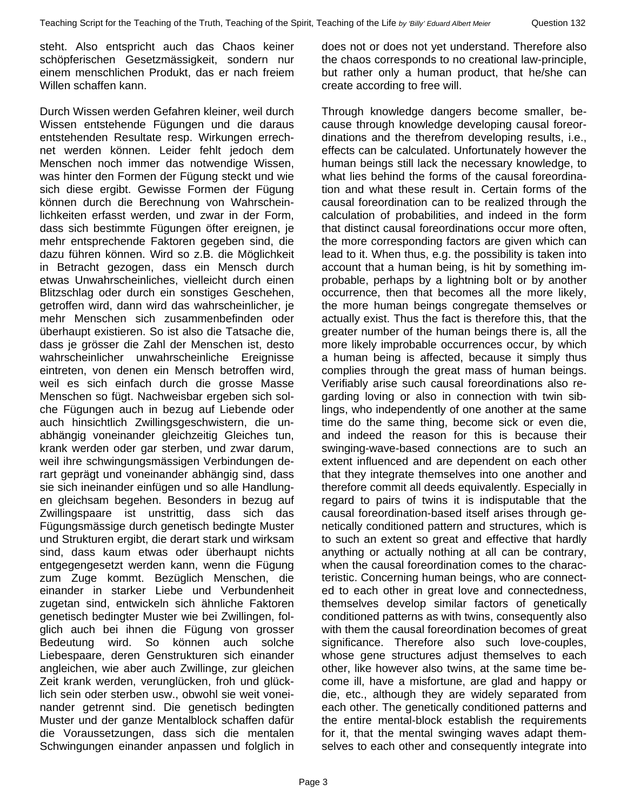steht. Also entspricht auch das Chaos keiner schöpferischen Gesetzmässigkeit, sondern nur einem menschlichen Produkt, das er nach freiem Willen schaffen kann.

Durch Wissen werden Gefahren kleiner, weil durch Wissen entstehende Fügungen und die daraus entstehenden Resultate resp. Wirkungen errechnet werden können. Leider fehlt jedoch dem Menschen noch immer das notwendige Wissen, was hinter den Formen der Fügung steckt und wie sich diese ergibt. Gewisse Formen der Fügung können durch die Berechnung von Wahrscheinlichkeiten erfasst werden, und zwar in der Form, dass sich bestimmte Fügungen öfter ereignen, je mehr entsprechende Faktoren gegeben sind, die dazu führen können. Wird so z.B. die Möglichkeit in Betracht gezogen, dass ein Mensch durch etwas Unwahrscheinliches, vielleicht durch einen Blitzschlag oder durch ein sonstiges Geschehen, getroffen wird, dann wird das wahrscheinlicher, je mehr Menschen sich zusammenbefinden oder überhaupt existieren. So ist also die Tatsache die, dass je grösser die Zahl der Menschen ist, desto wahrscheinlicher unwahrscheinliche Ereignisse eintreten, von denen ein Mensch betroffen wird, weil es sich einfach durch die grosse Masse Menschen so fügt. Nachweisbar ergeben sich solche Fügungen auch in bezug auf Liebende oder auch hinsichtlich Zwillingsgeschwistern, die unabhängig voneinander gleichzeitig Gleiches tun, krank werden oder gar sterben, und zwar darum, weil ihre schwingungsmässigen Verbindungen derart geprägt und voneinander abhängig sind, dass sie sich ineinander einfügen und so alle Handlungen gleichsam begehen. Besonders in bezug auf Zwillingspaare ist unstrittig, dass sich das Fügungsmässige durch genetisch bedingte Muster und Strukturen ergibt, die derart stark und wirksam sind, dass kaum etwas oder überhaupt nichts entgegengesetzt werden kann, wenn die Fügung zum Zuge kommt. Bezüglich Menschen, die einander in starker Liebe und Verbundenheit zugetan sind, entwickeln sich ähnliche Faktoren genetisch bedingter Muster wie bei Zwillingen, folglich auch bei ihnen die Fügung von grosser Bedeutung wird. So können auch solche Liebespaare, deren Genstrukturen sich einander angleichen, wie aber auch Zwillinge, zur gleichen Zeit krank werden, verunglücken, froh und glücklich sein oder sterben usw., obwohl sie weit voneinander getrennt sind. Die genetisch bedingten Muster und der ganze Mentalblock schaffen dafür die Voraussetzungen, dass sich die mentalen Schwingungen einander anpassen und folglich in

does not or does not yet understand. Therefore also the chaos corresponds to no creational law-principle, but rather only a human product, that he/she can create according to free will.

Through knowledge dangers become smaller, because through knowledge developing causal foreordinations and the therefrom developing results, i.e., effects can be calculated. Unfortunately however the human beings still lack the necessary knowledge, to what lies behind the forms of the causal foreordination and what these result in. Certain forms of the causal foreordination can to be realized through the calculation of probabilities, and indeed in the form that distinct causal foreordinations occur more often, the more corresponding factors are given which can lead to it. When thus, e.g. the possibility is taken into account that a human being, is hit by something improbable, perhaps by a lightning bolt or by another occurrence, then that becomes all the more likely, the more human beings congregate themselves or actually exist. Thus the fact is therefore this, that the greater number of the human beings there is, all the more likely improbable occurrences occur, by which a human being is affected, because it simply thus complies through the great mass of human beings. Verifiably arise such causal foreordinations also regarding loving or also in connection with twin siblings, who independently of one another at the same time do the same thing, become sick or even die, and indeed the reason for this is because their swinging-wave-based connections are to such an extent influenced and are dependent on each other that they integrate themselves into one another and therefore commit all deeds equivalently. Especially in regard to pairs of twins it is indisputable that the causal foreordination-based itself arises through genetically conditioned pattern and structures, which is to such an extent so great and effective that hardly anything or actually nothing at all can be contrary, when the causal foreordination comes to the characteristic. Concerning human beings, who are connected to each other in great love and connectedness, themselves develop similar factors of genetically conditioned patterns as with twins, consequently also with them the causal foreordination becomes of great significance. Therefore also such love-couples, whose gene structures adjust themselves to each other, like however also twins, at the same time become ill, have a misfortune, are glad and happy or die, etc., although they are widely separated from each other. The genetically conditioned patterns and the entire mental-block establish the requirements for it, that the mental swinging waves adapt themselves to each other and consequently integrate into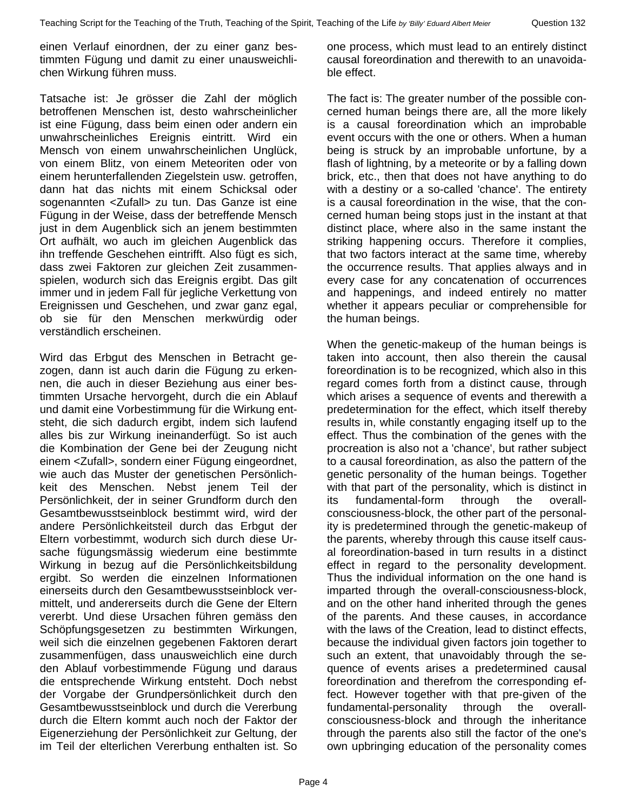einen Verlauf einordnen, der zu einer ganz bestimmten Fügung und damit zu einer unausweichlichen Wirkung führen muss.

Tatsache ist: Je grösser die Zahl der möglich betroffenen Menschen ist, desto wahrscheinlicher ist eine Fügung, dass beim einen oder andern ein unwahrscheinliches Ereignis eintritt. Wird ein Mensch von einem unwahrscheinlichen Unglück, von einem Blitz, von einem Meteoriten oder von einem herunterfallenden Ziegelstein usw. getroffen, dann hat das nichts mit einem Schicksal oder sogenannten <Zufall> zu tun. Das Ganze ist eine Fügung in der Weise, dass der betreffende Mensch just in dem Augenblick sich an jenem bestimmten Ort aufhält, wo auch im gleichen Augenblick das ihn treffende Geschehen eintrifft. Also fügt es sich, dass zwei Faktoren zur gleichen Zeit zusammenspielen, wodurch sich das Ereignis ergibt. Das gilt immer und in jedem Fall für jegliche Verkettung von Ereignissen und Geschehen, und zwar ganz egal, ob sie für den Menschen merkwürdig oder verständlich erscheinen.

Wird das Erbgut des Menschen in Betracht gezogen, dann ist auch darin die Fügung zu erkennen, die auch in dieser Beziehung aus einer bestimmten Ursache hervorgeht, durch die ein Ablauf und damit eine Vorbestimmung für die Wirkung entsteht, die sich dadurch ergibt, indem sich laufend alles bis zur Wirkung ineinanderfügt. So ist auch die Kombination der Gene bei der Zeugung nicht einem <Zufall>, sondern einer Fügung eingeordnet, wie auch das Muster der genetischen Persönlichkeit des Menschen. Nebst jenem Teil der Persönlichkeit, der in seiner Grundform durch den Gesamtbewusstseinblock bestimmt wird, wird der andere Persönlichkeitsteil durch das Erbgut der Eltern vorbestimmt, wodurch sich durch diese Ursache fügungsmässig wiederum eine bestimmte Wirkung in bezug auf die Persönlichkeitsbildung ergibt. So werden die einzelnen Informationen einerseits durch den Gesamtbewusstseinblock vermittelt, und andererseits durch die Gene der Eltern vererbt. Und diese Ursachen führen gemäss den Schöpfungsgesetzen zu bestimmten Wirkungen, weil sich die einzelnen gegebenen Faktoren derart zusammenfügen, dass unausweichlich eine durch den Ablauf vorbestimmende Fügung und daraus die entsprechende Wirkung entsteht. Doch nebst der Vorgabe der Grundpersönlichkeit durch den Gesamtbewusstseinblock und durch die Vererbung durch die Eltern kommt auch noch der Faktor der Eigenerziehung der Persönlichkeit zur Geltung, der im Teil der elterlichen Vererbung enthalten ist. So

one process, which must lead to an entirely distinct causal foreordination and therewith to an unavoidable effect.

The fact is: The greater number of the possible concerned human beings there are, all the more likely is a causal foreordination which an improbable event occurs with the one or others. When a human being is struck by an improbable unfortune, by a flash of lightning, by a meteorite or by a falling down brick, etc., then that does not have anything to do with a destiny or a so-called 'chance'. The entirety is a causal foreordination in the wise, that the concerned human being stops just in the instant at that distinct place, where also in the same instant the striking happening occurs. Therefore it complies, that two factors interact at the same time, whereby the occurrence results. That applies always and in every case for any concatenation of occurrences and happenings, and indeed entirely no matter whether it appears peculiar or comprehensible for the human beings.

When the genetic-makeup of the human beings is taken into account, then also therein the causal foreordination is to be recognized, which also in this regard comes forth from a distinct cause, through which arises a sequence of events and therewith a predetermination for the effect, which itself thereby results in, while constantly engaging itself up to the effect. Thus the combination of the genes with the procreation is also not a 'chance', but rather subject to a causal foreordination, as also the pattern of the genetic personality of the human beings. Together with that part of the personality, which is distinct in its fundamental-form through the overallconsciousness-block, the other part of the personality is predetermined through the genetic-makeup of the parents, whereby through this cause itself causal foreordination-based in turn results in a distinct effect in regard to the personality development. Thus the individual information on the one hand is imparted through the overall-consciousness-block, and on the other hand inherited through the genes of the parents. And these causes, in accordance with the laws of the Creation, lead to distinct effects, because the individual given factors join together to such an extent, that unavoidably through the sequence of events arises a predetermined causal foreordination and therefrom the corresponding effect. However together with that pre-given of the fundamental-personality through the overallconsciousness-block and through the inheritance through the parents also still the factor of the one's own upbringing education of the personality comes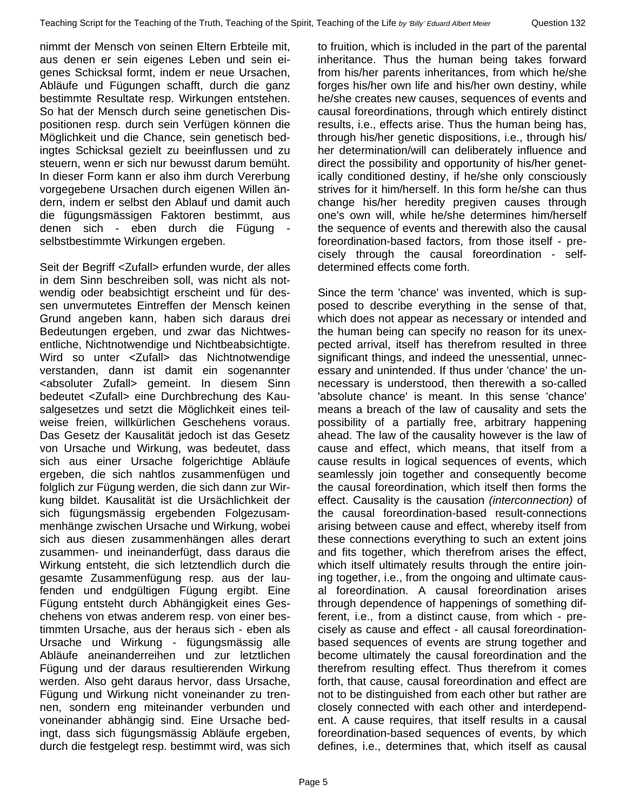nimmt der Mensch von seinen Eltern Erbteile mit, aus denen er sein eigenes Leben und sein eigenes Schicksal formt, indem er neue Ursachen, Abläufe und Fügungen schafft, durch die ganz bestimmte Resultate resp. Wirkungen entstehen. So hat der Mensch durch seine genetischen Dispositionen resp. durch sein Verfügen können die Möglichkeit und die Chance, sein genetisch bedingtes Schicksal gezielt zu beeinflussen und zu steuern, wenn er sich nur bewusst darum bemüht. In dieser Form kann er also ihm durch Vererbung vorgegebene Ursachen durch eigenen Willen ändern, indem er selbst den Ablauf und damit auch die fügungsmässigen Faktoren bestimmt, aus denen sich - eben durch die Fügung selbstbestimmte Wirkungen ergeben.

Seit der Begriff <Zufall> erfunden wurde, der alles in dem Sinn beschreiben soll, was nicht als notwendig oder beabsichtigt erscheint und für dessen unvermutetes Eintreffen der Mensch keinen Grund angeben kann, haben sich daraus drei Bedeutungen ergeben, und zwar das Nichtwesentliche, Nichtnotwendige und Nichtbeabsichtigte. Wird so unter <Zufall> das Nichtnotwendige verstanden, dann ist damit ein sogenannter <absoluter Zufall> gemeint. In diesem Sinn bedeutet <Zufall> eine Durchbrechung des Kausalgesetzes und setzt die Möglichkeit eines teilweise freien, willkürlichen Geschehens voraus. Das Gesetz der Kausalität jedoch ist das Gesetz von Ursache und Wirkung, was bedeutet, dass sich aus einer Ursache folgerichtige Abläufe ergeben, die sich nahtlos zusammenfügen und folglich zur Fügung werden, die sich dann zur Wirkung bildet. Kausalität ist die Ursächlichkeit der sich fügungsmässig ergebenden Folgezusammenhänge zwischen Ursache und Wirkung, wobei sich aus diesen zusammenhängen alles derart zusammen- und ineinanderfügt, dass daraus die Wirkung entsteht, die sich letztendlich durch die gesamte Zusammenfügung resp. aus der laufenden und endgültigen Fügung ergibt. Eine Fügung entsteht durch Abhängigkeit eines Geschehens von etwas anderem resp. von einer bestimmten Ursache, aus der heraus sich - eben als Ursache und Wirkung - fügungsmässig alle Abläufe aneinanderreihen und zur letztlichen Fügung und der daraus resultierenden Wirkung werden. Also geht daraus hervor, dass Ursache, Fügung und Wirkung nicht voneinander zu trennen, sondern eng miteinander verbunden und voneinander abhängig sind. Eine Ursache bedingt, dass sich fügungsmässig Abläufe ergeben, durch die festgelegt resp. bestimmt wird, was sich to fruition, which is included in the part of the parental inheritance. Thus the human being takes forward from his/her parents inheritances, from which he/she forges his/her own life and his/her own destiny, while he/she creates new causes, sequences of events and causal foreordinations, through which entirely distinct results, i.e., effects arise. Thus the human being has, through his/her genetic dispositions, i.e., through his/ her determination/will can deliberately influence and direct the possibility and opportunity of his/her genetically conditioned destiny, if he/she only consciously strives for it him/herself. In this form he/she can thus change his/her heredity pregiven causes through one's own will, while he/she determines him/herself the sequence of events and therewith also the causal foreordination-based factors, from those itself - precisely through the causal foreordination - selfdetermined effects come forth.

Since the term 'chance' was invented, which is supposed to describe everything in the sense of that, which does not appear as necessary or intended and the human being can specify no reason for its unexpected arrival, itself has therefrom resulted in three significant things, and indeed the unessential, unnecessary and unintended. If thus under 'chance' the unnecessary is understood, then therewith a so-called 'absolute chance' is meant. In this sense 'chance' means a breach of the law of causality and sets the possibility of a partially free, arbitrary happening ahead. The law of the causality however is the law of cause and effect, which means, that itself from a cause results in logical sequences of events, which seamlessly join together and consequently become the causal foreordination, which itself then forms the effect. Causality is the causation *(interconnection)* of the causal foreordination-based result-connections arising between cause and effect, whereby itself from these connections everything to such an extent joins and fits together, which therefrom arises the effect, which itself ultimately results through the entire joining together, i.e., from the ongoing and ultimate causal foreordination. A causal foreordination arises through dependence of happenings of something different, i.e., from a distinct cause, from which - precisely as cause and effect - all causal foreordinationbased sequences of events are strung together and become ultimately the causal foreordination and the therefrom resulting effect. Thus therefrom it comes forth, that cause, causal foreordination and effect are not to be distinguished from each other but rather are closely connected with each other and interdependent. A cause requires, that itself results in a causal foreordination-based sequences of events, by which defines, i.e., determines that, which itself as causal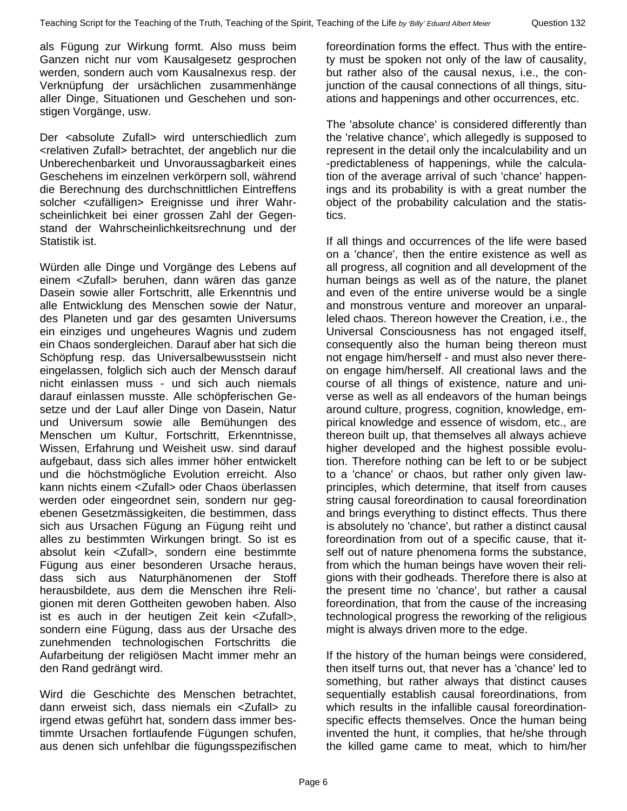als Fügung zur Wirkung formt. Also muss beim Ganzen nicht nur vom Kausalgesetz gesprochen werden, sondern auch vom Kausalnexus resp. der Verknüpfung der ursächlichen zusammenhänge aller Dinge, Situationen und Geschehen und sonstigen Vorgänge, usw.

Der <absolute Zufall> wird unterschiedlich zum <relativen Zufall> betrachtet, der angeblich nur die Unberechenbarkeit und Unvoraussagbarkeit eines Geschehens im einzelnen verkörpern soll, während die Berechnung des durchschnittlichen Eintreffens solcher <zufälligen> Ereignisse und ihrer Wahrscheinlichkeit bei einer grossen Zahl der Gegenstand der Wahrscheinlichkeitsrechnung und der Statistik ist.

Würden alle Dinge und Vorgänge des Lebens auf einem <Zufall> beruhen, dann wären das ganze Dasein sowie aller Fortschritt, alle Erkenntnis und alle Entwicklung des Menschen sowie der Natur, des Planeten und gar des gesamten Universums ein einziges und ungeheures Wagnis und zudem ein Chaos sondergleichen. Darauf aber hat sich die Schöpfung resp. das Universalbewusstsein nicht eingelassen, folglich sich auch der Mensch darauf nicht einlassen muss - und sich auch niemals darauf einlassen musste. Alle schöpferischen Gesetze und der Lauf aller Dinge von Dasein, Natur und Universum sowie alle Bemühungen des Menschen um Kultur, Fortschritt, Erkenntnisse, Wissen, Erfahrung und Weisheit usw. sind darauf aufgebaut, dass sich alles immer höher entwickelt und die höchstmögliche Evolution erreicht. Also kann nichts einem <Zufall> oder Chaos überlassen werden oder eingeordnet sein, sondern nur gegebenen Gesetzmässigkeiten, die bestimmen, dass sich aus Ursachen Fügung an Fügung reiht und alles zu bestimmten Wirkungen bringt. So ist es absolut kein <Zufall>, sondern eine bestimmte Fügung aus einer besonderen Ursache heraus, dass sich aus Naturphänomenen der Stoff herausbildete, aus dem die Menschen ihre Religionen mit deren Gottheiten gewoben haben. Also ist es auch in der heutigen Zeit kein <Zufall>, sondern eine Fügung, dass aus der Ursache des zunehmenden technologischen Fortschritts die Aufarbeitung der religiösen Macht immer mehr an den Rand gedrängt wird.

Wird die Geschichte des Menschen betrachtet, dann erweist sich, dass niemals ein <Zufall> zu irgend etwas geführt hat, sondern dass immer bestimmte Ursachen fortlaufende Fügungen schufen, aus denen sich unfehlbar die fügungsspezifischen foreordination forms the effect. Thus with the entirety must be spoken not only of the law of causality, but rather also of the causal nexus, i.e., the conjunction of the causal connections of all things, situations and happenings and other occurrences, etc.

The 'absolute chance' is considered differently than the 'relative chance', which allegedly is supposed to represent in the detail only the incalculability and un -predictableness of happenings, while the calculation of the average arrival of such 'chance' happenings and its probability is with a great number the object of the probability calculation and the statistics.

If all things and occurrences of the life were based on a 'chance', then the entire existence as well as all progress, all cognition and all development of the human beings as well as of the nature, the planet and even of the entire universe would be a single and monstrous venture and moreover an unparalleled chaos. Thereon however the Creation, i.e., the Universal Consciousness has not engaged itself, consequently also the human being thereon must not engage him/herself - and must also never thereon engage him/herself. All creational laws and the course of all things of existence, nature and universe as well as all endeavors of the human beings around culture, progress, cognition, knowledge, empirical knowledge and essence of wisdom, etc., are thereon built up, that themselves all always achieve higher developed and the highest possible evolution. Therefore nothing can be left to or be subject to a 'chance' or chaos, but rather only given lawprinciples, which determine, that itself from causes string causal foreordination to causal foreordination and brings everything to distinct effects. Thus there is absolutely no 'chance', but rather a distinct causal foreordination from out of a specific cause, that itself out of nature phenomena forms the substance, from which the human beings have woven their religions with their godheads. Therefore there is also at the present time no 'chance', but rather a causal foreordination, that from the cause of the increasing technological progress the reworking of the religious might is always driven more to the edge.

If the history of the human beings were considered, then itself turns out, that never has a 'chance' led to something, but rather always that distinct causes sequentially establish causal foreordinations, from which results in the infallible causal foreordinationspecific effects themselves. Once the human being invented the hunt, it complies, that he/she through the killed game came to meat, which to him/her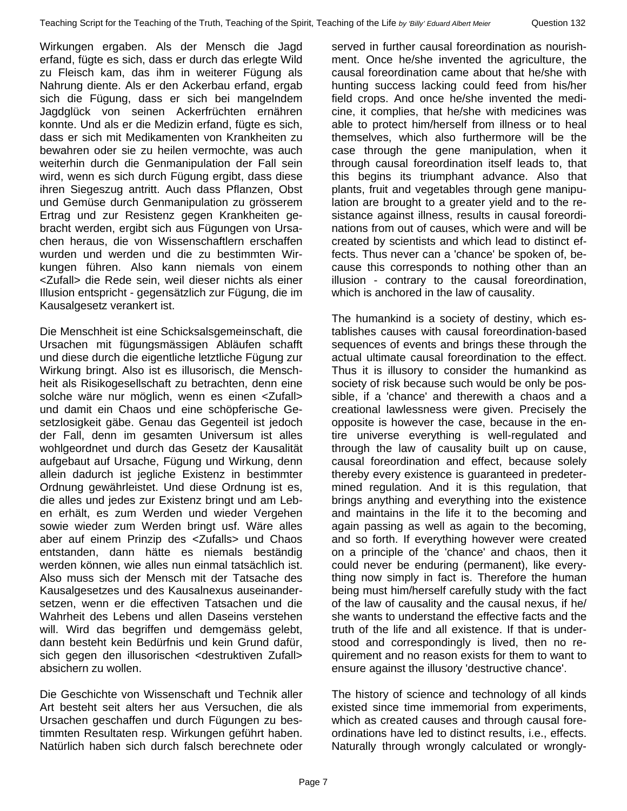Wirkungen ergaben. Als der Mensch die Jagd erfand, fügte es sich, dass er durch das erlegte Wild zu Fleisch kam, das ihm in weiterer Fügung als Nahrung diente. Als er den Ackerbau erfand, ergab sich die Fügung, dass er sich bei mangelndem Jagdglück von seinen Ackerfrüchten ernähren konnte. Und als er die Medizin erfand, fügte es sich, dass er sich mit Medikamenten von Krankheiten zu bewahren oder sie zu heilen vermochte, was auch weiterhin durch die Genmanipulation der Fall sein wird, wenn es sich durch Fügung ergibt, dass diese ihren Siegeszug antritt. Auch dass Pflanzen, Obst und Gemüse durch Genmanipulation zu grösserem Ertrag und zur Resistenz gegen Krankheiten gebracht werden, ergibt sich aus Fügungen von Ursachen heraus, die von Wissenschaftlern erschaffen wurden und werden und die zu bestimmten Wirkungen führen. Also kann niemals von einem <Zufall> die Rede sein, weil dieser nichts als einer

Illusion entspricht - gegensätzlich zur Fügung, die im

Kausalgesetz verankert ist.

Die Menschheit ist eine Schicksalsgemeinschaft, die Ursachen mit fügungsmässigen Abläufen schafft und diese durch die eigentliche letztliche Fügung zur Wirkung bringt. Also ist es illusorisch, die Menschheit als Risikogesellschaft zu betrachten, denn eine solche wäre nur möglich, wenn es einen <Zufall> und damit ein Chaos und eine schöpferische Gesetzlosigkeit gäbe. Genau das Gegenteil ist jedoch der Fall, denn im gesamten Universum ist alles wohlgeordnet und durch das Gesetz der Kausalität aufgebaut auf Ursache, Fügung und Wirkung, denn allein dadurch ist jegliche Existenz in bestimmter Ordnung gewährleistet. Und diese Ordnung ist es, die alles und jedes zur Existenz bringt und am Leben erhält, es zum Werden und wieder Vergehen sowie wieder zum Werden bringt usf. Wäre alles aber auf einem Prinzip des <Zufalls> und Chaos entstanden, dann hätte es niemals beständig werden können, wie alles nun einmal tatsächlich ist. Also muss sich der Mensch mit der Tatsache des Kausalgesetzes und des Kausalnexus auseinandersetzen, wenn er die effectiven Tatsachen und die Wahrheit des Lebens und allen Daseins verstehen will. Wird das begriffen und demgemäss gelebt, dann besteht kein Bedürfnis und kein Grund dafür, sich gegen den illusorischen <destruktiven Zufall> absichern zu wollen.

Die Geschichte von Wissenschaft und Technik aller Art besteht seit alters her aus Versuchen, die als Ursachen geschaffen und durch Fügungen zu bestimmten Resultaten resp. Wirkungen geführt haben. Natürlich haben sich durch falsch berechnete oder

served in further causal foreordination as nourishment. Once he/she invented the agriculture, the causal foreordination came about that he/she with hunting success lacking could feed from his/her field crops. And once he/she invented the medicine, it complies, that he/she with medicines was able to protect him/herself from illness or to heal themselves, which also furthermore will be the case through the gene manipulation, when it through causal foreordination itself leads to, that this begins its triumphant advance. Also that plants, fruit and vegetables through gene manipulation are brought to a greater yield and to the resistance against illness, results in causal foreordinations from out of causes, which were and will be created by scientists and which lead to distinct effects. Thus never can a 'chance' be spoken of, because this corresponds to nothing other than an illusion - contrary to the causal foreordination, which is anchored in the law of causality.

The humankind is a society of destiny, which establishes causes with causal foreordination-based sequences of events and brings these through the actual ultimate causal foreordination to the effect. Thus it is illusory to consider the humankind as society of risk because such would be only be possible, if a 'chance' and therewith a chaos and a creational lawlessness were given. Precisely the opposite is however the case, because in the entire universe everything is well-regulated and through the law of causality built up on cause, causal foreordination and effect, because solely thereby every existence is guaranteed in predetermined regulation. And it is this regulation, that brings anything and everything into the existence and maintains in the life it to the becoming and again passing as well as again to the becoming, and so forth. If everything however were created on a principle of the 'chance' and chaos, then it could never be enduring (permanent), like everything now simply in fact is. Therefore the human being must him/herself carefully study with the fact of the law of causality and the causal nexus, if he/ she wants to understand the effective facts and the truth of the life and all existence. If that is understood and correspondingly is lived, then no requirement and no reason exists for them to want to ensure against the illusory 'destructive chance'.

The history of science and technology of all kinds existed since time immemorial from experiments, which as created causes and through causal foreordinations have led to distinct results, i.e., effects. Naturally through wrongly calculated or wrongly-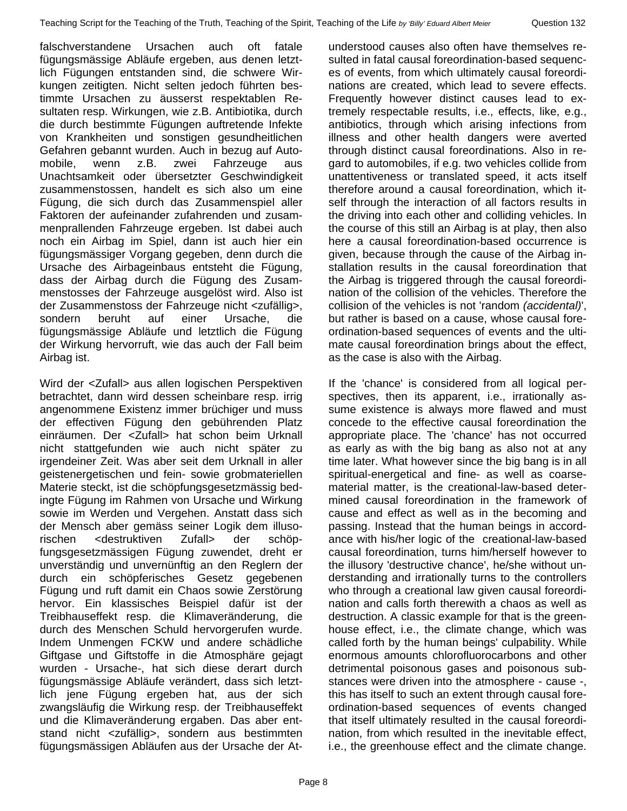falschverstandene Ursachen auch oft fatale fügungsmässige Abläufe ergeben, aus denen letztlich Fügungen entstanden sind, die schwere Wirkungen zeitigten. Nicht selten jedoch führten bestimmte Ursachen zu äusserst respektablen Resultaten resp. Wirkungen, wie z.B. Antibiotika, durch die durch bestimmte Fügungen auftretende Infekte von Krankheiten und sonstigen gesundheitlichen Gefahren gebannt wurden. Auch in bezug auf Automobile, wenn z.B. zwei Fahrzeuge aus Unachtsamkeit oder übersetzter Geschwindigkeit zusammenstossen, handelt es sich also um eine Fügung, die sich durch das Zusammenspiel aller Faktoren der aufeinander zufahrenden und zusammenprallenden Fahrzeuge ergeben. Ist dabei auch noch ein Airbag im Spiel, dann ist auch hier ein fügungsmässiger Vorgang gegeben, denn durch die Ursache des Airbageinbaus entsteht die Fügung, dass der Airbag durch die Fügung des Zusammenstosses der Fahrzeuge ausgelöst wird. Also ist der Zusammenstoss der Fahrzeuge nicht <zufällig>, sondern beruht auf einer Ursache, die fügungsmässige Abläufe und letztlich die Fügung der Wirkung hervorruft, wie das auch der Fall beim Airbag ist.

Wird der <Zufall> aus allen logischen Perspektiven betrachtet, dann wird dessen scheinbare resp. irrig angenommene Existenz immer brüchiger und muss der effectiven Fügung den gebührenden Platz einräumen. Der <Zufall> hat schon beim Urknall nicht stattgefunden wie auch nicht später zu irgendeiner Zeit. Was aber seit dem Urknall in aller geistenergetischen und fein- sowie grobmateriellen Materie steckt, ist die schöpfungsgesetzmässig bedingte Fügung im Rahmen von Ursache und Wirkung sowie im Werden und Vergehen. Anstatt dass sich der Mensch aber gemäss seiner Logik dem illusorischen <destruktiven Zufall> der schöpfungsgesetzmässigen Fügung zuwendet, dreht er unverständig und unvernünftig an den Reglern der durch ein schöpferisches Gesetz gegebenen Fügung und ruft damit ein Chaos sowie Zerstörung hervor. Ein klassisches Beispiel dafür ist der Treibhauseffekt resp. die Klimaveränderung, die durch des Menschen Schuld hervorgerufen wurde. Indem Unmengen FCKW und andere schädliche Giftgase und Giftstoffe in die Atmosphäre gejagt wurden - Ursache-, hat sich diese derart durch fügungsmässige Abläufe verändert, dass sich letztlich jene Fügung ergeben hat, aus der sich zwangsläufig die Wirkung resp. der Treibhauseffekt und die Klimaveränderung ergaben. Das aber entstand nicht <zufällig>, sondern aus bestimmten fügungsmässigen Abläufen aus der Ursache der At-

understood causes also often have themselves resulted in fatal causal foreordination-based sequences of events, from which ultimately causal foreordinations are created, which lead to severe effects. Frequently however distinct causes lead to extremely respectable results, i.e., effects, like, e.g., antibiotics, through which arising infections from illness and other health dangers were averted through distinct causal foreordinations. Also in regard to automobiles, if e.g. two vehicles collide from unattentiveness or translated speed, it acts itself therefore around a causal foreordination, which itself through the interaction of all factors results in the driving into each other and colliding vehicles. In the course of this still an Airbag is at play, then also here a causal foreordination-based occurrence is given, because through the cause of the Airbag installation results in the causal foreordination that the Airbag is triggered through the causal foreordination of the collision of the vehicles. Therefore the collision of the vehicles is not 'random *(accidental)*', but rather is based on a cause, whose causal foreordination-based sequences of events and the ultimate causal foreordination brings about the effect, as the case is also with the Airbag.

If the 'chance' is considered from all logical perspectives, then its apparent, i.e., irrationally assume existence is always more flawed and must concede to the effective causal foreordination the appropriate place. The 'chance' has not occurred as early as with the big bang as also not at any time later. What however since the big bang is in all spiritual-energetical and fine- as well as coarsematerial matter, is the creational-law-based determined causal foreordination in the framework of cause and effect as well as in the becoming and passing. Instead that the human beings in accordance with his/her logic of the creational-law-based causal foreordination, turns him/herself however to the illusory 'destructive chance', he/she without understanding and irrationally turns to the controllers who through a creational law given causal foreordination and calls forth therewith a chaos as well as destruction. A classic example for that is the greenhouse effect, i.e., the climate change, which was called forth by the human beings' culpability. While enormous amounts chlorofluorocarbons and other detrimental poisonous gases and poisonous substances were driven into the atmosphere - cause -, this has itself to such an extent through causal foreordination-based sequences of events changed that itself ultimately resulted in the causal foreordination, from which resulted in the inevitable effect, i.e., the greenhouse effect and the climate change.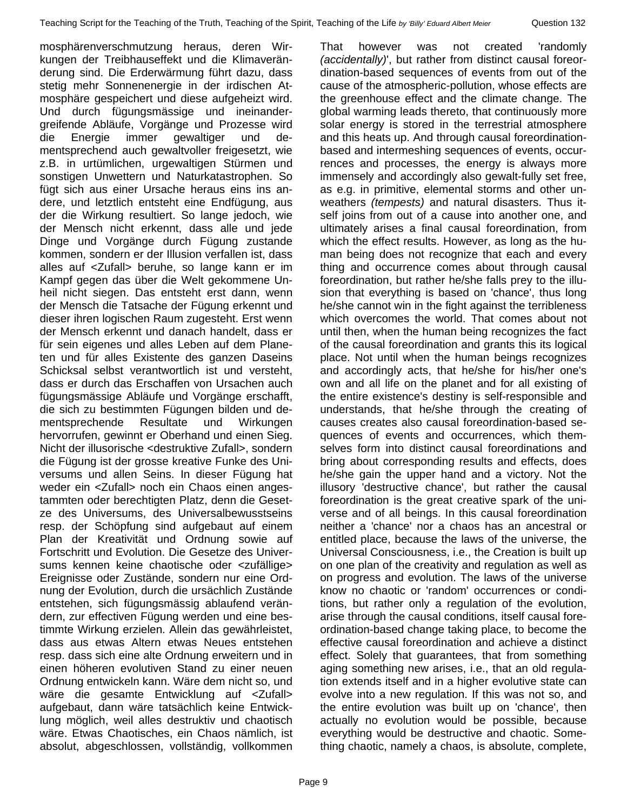mosphärenverschmutzung heraus, deren Wirkungen der Treibhauseffekt und die Klimaveränderung sind. Die Erderwärmung führt dazu, dass stetig mehr Sonnenenergie in der irdischen Atmosphäre gespeichert und diese aufgeheizt wird. Und durch fügungsmässige und ineinandergreifende Abläufe, Vorgänge und Prozesse wird die Energie immer gewaltiger und dementsprechend auch gewaltvoller freigesetzt, wie z.B. in urtümlichen, urgewaltigen Stürmen und sonstigen Unwettern und Naturkatastrophen. So fügt sich aus einer Ursache heraus eins ins andere, und letztlich entsteht eine Endfügung, aus der die Wirkung resultiert. So lange jedoch, wie der Mensch nicht erkennt, dass alle und jede Dinge und Vorgänge durch Fügung zustande kommen, sondern er der Illusion verfallen ist, dass alles auf <Zufall> beruhe, so lange kann er im Kampf gegen das über die Welt gekommene Unheil nicht siegen. Das entsteht erst dann, wenn der Mensch die Tatsache der Fügung erkennt und dieser ihren logischen Raum zugesteht. Erst wenn der Mensch erkennt und danach handelt, dass er für sein eigenes und alles Leben auf dem Planeten und für alles Existente des ganzen Daseins Schicksal selbst verantwortlich ist und versteht, dass er durch das Erschaffen von Ursachen auch fügungsmässige Abläufe und Vorgänge erschafft, die sich zu bestimmten Fügungen bilden und dementsprechende Resultate und Wirkungen hervorrufen, gewinnt er Oberhand und einen Sieg. Nicht der illusorische <destruktive Zufall>, sondern die Fügung ist der grosse kreative Funke des Universums und allen Seins. In dieser Fügung hat weder ein <Zufall> noch ein Chaos einen angestammten oder berechtigten Platz, denn die Gesetze des Universums, des Universalbewusstseins resp. der Schöpfung sind aufgebaut auf einem Plan der Kreativität und Ordnung sowie auf Fortschritt und Evolution. Die Gesetze des Universums kennen keine chaotische oder <zufällige> Ereignisse oder Zustände, sondern nur eine Ordnung der Evolution, durch die ursächlich Zustände entstehen, sich fügungsmässig ablaufend verändern, zur effectiven Fügung werden und eine bestimmte Wirkung erzielen. Allein das gewährleistet, dass aus etwas Altern etwas Neues entstehen resp. dass sich eine alte Ordnung erweitern und in einen höheren evolutiven Stand zu einer neuen Ordnung entwickeln kann. Wäre dem nicht so, und wäre die gesamte Entwicklung auf <Zufall> aufgebaut, dann wäre tatsächlich keine Entwicklung möglich, weil alles destruktiv und chaotisch wäre. Etwas Chaotisches, ein Chaos nämlich, ist absolut, abgeschlossen, vollständig, vollkommen

That however was not created 'randomly *(accidentally)*', but rather from distinct causal foreordination-based sequences of events from out of the cause of the atmospheric-pollution, whose effects are the greenhouse effect and the climate change. The global warming leads thereto, that continuously more solar energy is stored in the terrestrial atmosphere and this heats up. And through causal foreordinationbased and intermeshing sequences of events, occurrences and processes, the energy is always more immensely and accordingly also gewalt-fully set free, as e.g. in primitive, elemental storms and other unweathers *(tempests)* and natural disasters. Thus itself joins from out of a cause into another one, and ultimately arises a final causal foreordination, from which the effect results. However, as long as the human being does not recognize that each and every thing and occurrence comes about through causal foreordination, but rather he/she falls prey to the illusion that everything is based on 'chance', thus long he/she cannot win in the fight against the terribleness which overcomes the world. That comes about not until then, when the human being recognizes the fact of the causal foreordination and grants this its logical place. Not until when the human beings recognizes and accordingly acts, that he/she for his/her one's own and all life on the planet and for all existing of the entire existence's destiny is self-responsible and understands, that he/she through the creating of causes creates also causal foreordination-based sequences of events and occurrences, which themselves form into distinct causal foreordinations and bring about corresponding results and effects, does he/she gain the upper hand and a victory. Not the illusory 'destructive chance', but rather the causal foreordination is the great creative spark of the universe and of all beings. In this causal foreordination neither a 'chance' nor a chaos has an ancestral or entitled place, because the laws of the universe, the Universal Consciousness, i.e., the Creation is built up on one plan of the creativity and regulation as well as on progress and evolution. The laws of the universe know no chaotic or 'random' occurrences or conditions, but rather only a regulation of the evolution, arise through the causal conditions, itself causal foreordination-based change taking place, to become the effective causal foreordination and achieve a distinct effect. Solely that guarantees, that from something aging something new arises, i.e., that an old regulation extends itself and in a higher evolutive state can evolve into a new regulation. If this was not so, and the entire evolution was built up on 'chance', then actually no evolution would be possible, because everything would be destructive and chaotic. Something chaotic, namely a chaos, is absolute, complete,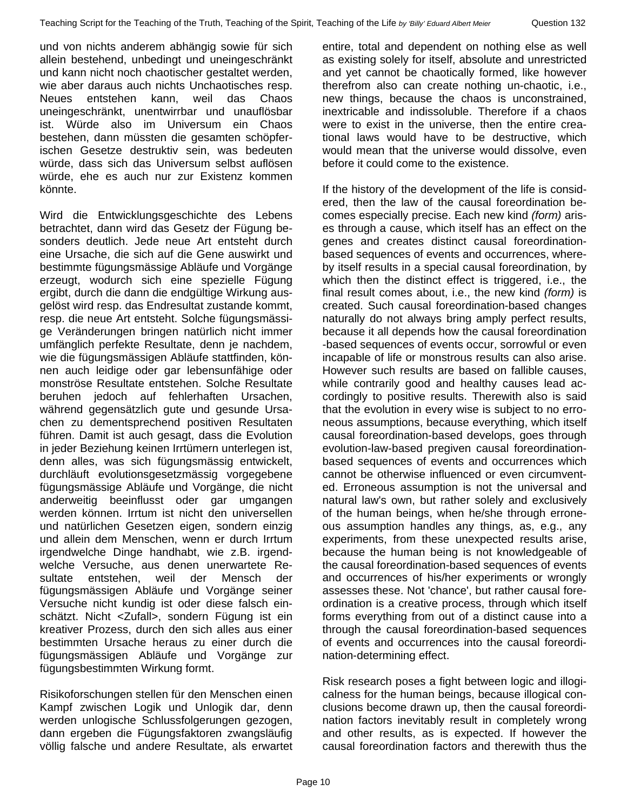und von nichts anderem abhängig sowie für sich allein bestehend, unbedingt und uneingeschränkt und kann nicht noch chaotischer gestaltet werden, wie aber daraus auch nichts Unchaotisches resp. Neues entstehen kann, weil das Chaos uneingeschränkt, unentwirrbar und unauflösbar ist. Würde also im Universum ein Chaos bestehen, dann müssten die gesamten schöpferischen Gesetze destruktiv sein, was bedeuten würde, dass sich das Universum selbst auflösen würde, ehe es auch nur zur Existenz kommen könnte.

Wird die Entwicklungsgeschichte des Lebens betrachtet, dann wird das Gesetz der Fügung besonders deutlich. Jede neue Art entsteht durch eine Ursache, die sich auf die Gene auswirkt und bestimmte fügungsmässige Abläufe und Vorgänge erzeugt, wodurch sich eine spezielle Fügung ergibt, durch die dann die endgültige Wirkung ausgelöst wird resp. das Endresultat zustande kommt, resp. die neue Art entsteht. Solche fügungsmässige Veränderungen bringen natürlich nicht immer umfänglich perfekte Resultate, denn je nachdem, wie die fügungsmässigen Abläufe stattfinden, können auch leidige oder gar lebensunfähige oder monströse Resultate entstehen. Solche Resultate beruhen jedoch auf fehlerhaften Ursachen, während gegensätzlich gute und gesunde Ursachen zu dementsprechend positiven Resultaten führen. Damit ist auch gesagt, dass die Evolution in jeder Beziehung keinen Irrtümern unterlegen ist, denn alles, was sich fügungsmässig entwickelt, durchläuft evolutionsgesetzmässig vorgegebene fügungsmässige Abläufe und Vorgänge, die nicht anderweitig beeinflusst oder gar umgangen werden können. Irrtum ist nicht den universellen und natürlichen Gesetzen eigen, sondern einzig und allein dem Menschen, wenn er durch Irrtum irgendwelche Dinge handhabt, wie z.B. irgendwelche Versuche, aus denen unerwartete Resultate entstehen, weil der Mensch der fügungsmässigen Abläufe und Vorgänge seiner Versuche nicht kundig ist oder diese falsch einschätzt. Nicht <Zufall>, sondern Fügung ist ein kreativer Prozess, durch den sich alles aus einer bestimmten Ursache heraus zu einer durch die fügungsmässigen Abläufe und Vorgänge zur fügungsbestimmten Wirkung formt.

Risikoforschungen stellen für den Menschen einen Kampf zwischen Logik und Unlogik dar, denn werden unlogische Schlussfolgerungen gezogen, dann ergeben die Fügungsfaktoren zwangsläufig völlig falsche und andere Resultate, als erwartet entire, total and dependent on nothing else as well as existing solely for itself, absolute and unrestricted and yet cannot be chaotically formed, like however therefrom also can create nothing un-chaotic, i.e., new things, because the chaos is unconstrained, inextricable and indissoluble. Therefore if a chaos were to exist in the universe, then the entire creational laws would have to be destructive, which would mean that the universe would dissolve, even before it could come to the existence.

If the history of the development of the life is considered, then the law of the causal foreordination becomes especially precise. Each new kind *(form)* arises through a cause, which itself has an effect on the genes and creates distinct causal foreordinationbased sequences of events and occurrences, whereby itself results in a special causal foreordination, by which then the distinct effect is triggered, i.e., the final result comes about, i.e., the new kind *(form)* is created. Such causal foreordination-based changes naturally do not always bring amply perfect results, because it all depends how the causal foreordination -based sequences of events occur, sorrowful or even incapable of life or monstrous results can also arise. However such results are based on fallible causes, while contrarily good and healthy causes lead accordingly to positive results. Therewith also is said that the evolution in every wise is subject to no erroneous assumptions, because everything, which itself causal foreordination-based develops, goes through evolution-law-based pregiven causal foreordinationbased sequences of events and occurrences which cannot be otherwise influenced or even circumvented. Erroneous assumption is not the universal and natural law's own, but rather solely and exclusively of the human beings, when he/she through erroneous assumption handles any things, as, e.g., any experiments, from these unexpected results arise, because the human being is not knowledgeable of the causal foreordination-based sequences of events and occurrences of his/her experiments or wrongly assesses these. Not 'chance', but rather causal foreordination is a creative process, through which itself forms everything from out of a distinct cause into a through the causal foreordination-based sequences of events and occurrences into the causal foreordination-determining effect.

Risk research poses a fight between logic and illogicalness for the human beings, because illogical conclusions become drawn up, then the causal foreordination factors inevitably result in completely wrong and other results, as is expected. If however the causal foreordination factors and therewith thus the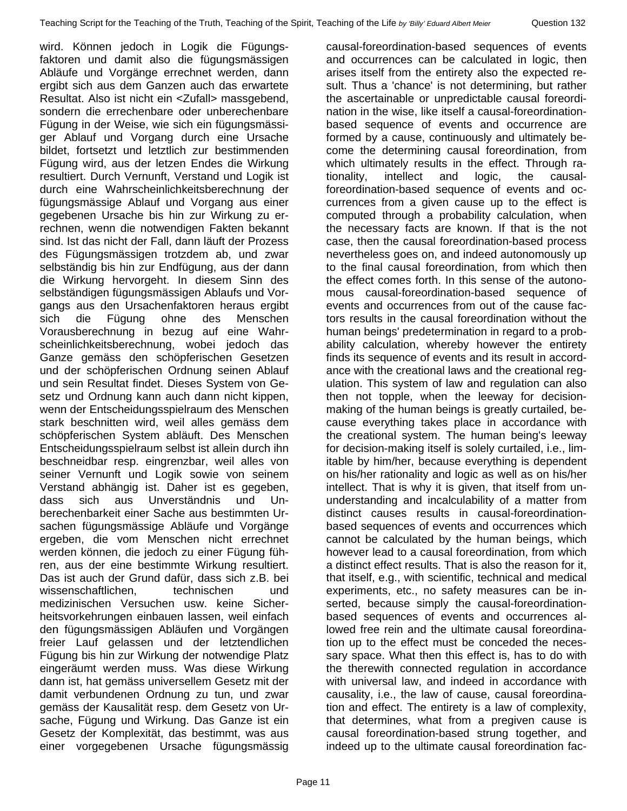wird. Können jedoch in Logik die Fügungsfaktoren und damit also die fügungsmässigen Abläufe und Vorgänge errechnet werden, dann ergibt sich aus dem Ganzen auch das erwartete Resultat. Also ist nicht ein <Zufall> massgebend, sondern die errechenbare oder unberechenbare Fügung in der Weise, wie sich ein fügungsmässiger Ablauf und Vorgang durch eine Ursache bildet, fortsetzt und letztlich zur bestimmenden Fügung wird, aus der letzen Endes die Wirkung resultiert. Durch Vernunft, Verstand und Logik ist durch eine Wahrscheinlichkeitsberechnung der fügungsmässige Ablauf und Vorgang aus einer gegebenen Ursache bis hin zur Wirkung zu errechnen, wenn die notwendigen Fakten bekannt sind. Ist das nicht der Fall, dann läuft der Prozess des Fügungsmässigen trotzdem ab, und zwar selbständig bis hin zur Endfügung, aus der dann die Wirkung hervorgeht. In diesem Sinn des selbständigen fügungsmässigen Ablaufs und Vorgangs aus den Ursachenfaktoren heraus ergibt sich die Fügung ohne des Menschen Vorausberechnung in bezug auf eine Wahrscheinlichkeitsberechnung, wobei jedoch das Ganze gemäss den schöpferischen Gesetzen und der schöpferischen Ordnung seinen Ablauf und sein Resultat findet. Dieses System von Gesetz und Ordnung kann auch dann nicht kippen, wenn der Entscheidungsspielraum des Menschen stark beschnitten wird, weil alles gemäss dem schöpferischen System abläuft. Des Menschen Entscheidungsspielraum selbst ist allein durch ihn beschneidbar resp. eingrenzbar, weil alles von seiner Vernunft und Logik sowie von seinem Verstand abhängig ist. Daher ist es gegeben, dass sich aus Unverständnis und Unberechenbarkeit einer Sache aus bestimmten Ursachen fügungsmässige Abläufe und Vorgänge ergeben, die vom Menschen nicht errechnet werden können, die jedoch zu einer Fügung führen, aus der eine bestimmte Wirkung resultiert. Das ist auch der Grund dafür, dass sich z.B. bei wissenschaftlichen, technischen und medizinischen Versuchen usw. keine Sicherheitsvorkehrungen einbauen lassen, weil einfach den fügungsmässigen Abläufen und Vorgängen freier Lauf gelassen und der letztendlichen Fügung bis hin zur Wirkung der notwendige Platz eingeräumt werden muss. Was diese Wirkung dann ist, hat gemäss universellem Gesetz mit der damit verbundenen Ordnung zu tun, und zwar gemäss der Kausalität resp. dem Gesetz von Ursache, Fügung und Wirkung. Das Ganze ist ein Gesetz der Komplexität, das bestimmt, was aus einer vorgegebenen Ursache fügungsmässig

causal-foreordination-based sequences of events and occurrences can be calculated in logic, then arises itself from the entirety also the expected result. Thus a 'chance' is not determining, but rather the ascertainable or unpredictable causal foreordination in the wise, like itself a causal-foreordinationbased sequence of events and occurrence are formed by a cause, continuously and ultimately become the determining causal foreordination, from which ultimately results in the effect. Through rationality, intellect and logic, the causalforeordination-based sequence of events and occurrences from a given cause up to the effect is computed through a probability calculation, when the necessary facts are known. If that is the not case, then the causal foreordination-based process nevertheless goes on, and indeed autonomously up to the final causal foreordination, from which then the effect comes forth. In this sense of the autonomous causal-foreordination-based sequence of events and occurrences from out of the cause factors results in the causal foreordination without the human beings' predetermination in regard to a probability calculation, whereby however the entirety finds its sequence of events and its result in accordance with the creational laws and the creational regulation. This system of law and regulation can also then not topple, when the leeway for decisionmaking of the human beings is greatly curtailed, because everything takes place in accordance with the creational system. The human being's leeway for decision-making itself is solely curtailed, i.e., limitable by him/her, because everything is dependent on his/her rationality and logic as well as on his/her intellect. That is why it is given, that itself from ununderstanding and incalculability of a matter from distinct causes results in causal-foreordinationbased sequences of events and occurrences which cannot be calculated by the human beings, which however lead to a causal foreordination, from which a distinct effect results. That is also the reason for it, that itself, e.g., with scientific, technical and medical experiments, etc., no safety measures can be inserted, because simply the causal-foreordinationbased sequences of events and occurrences allowed free rein and the ultimate causal foreordination up to the effect must be conceded the necessary space. What then this effect is, has to do with the therewith connected regulation in accordance with universal law, and indeed in accordance with causality, i.e., the law of cause, causal foreordination and effect. The entirety is a law of complexity, that determines, what from a pregiven cause is causal foreordination-based strung together, and indeed up to the ultimate causal foreordination fac-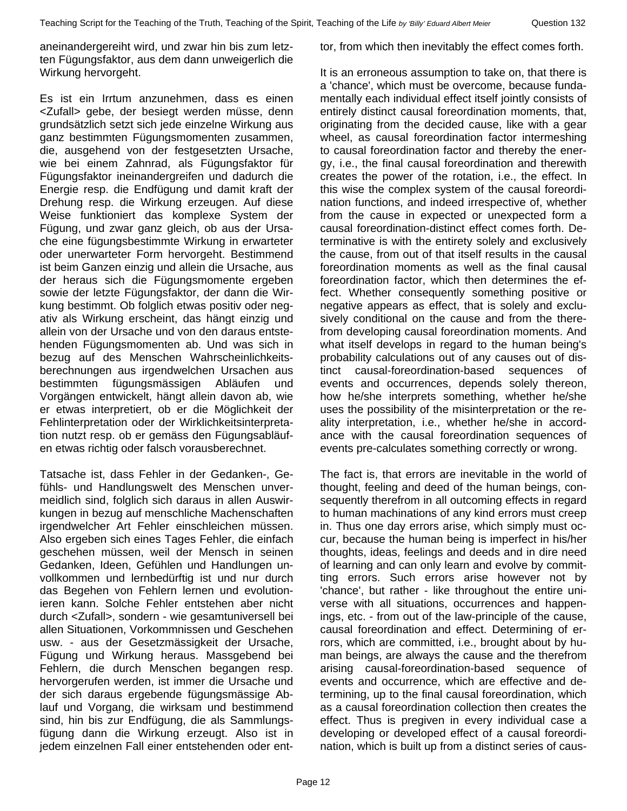aneinandergereiht wird, und zwar hin bis zum letzten Fügungsfaktor, aus dem dann unweigerlich die Wirkung hervorgeht.

Es ist ein Irrtum anzunehmen, dass es einen <Zufall> gebe, der besiegt werden müsse, denn grundsätzlich setzt sich jede einzelne Wirkung aus ganz bestimmten Fügungsmomenten zusammen, die, ausgehend von der festgesetzten Ursache, wie bei einem Zahnrad, als Fügungsfaktor für Fügungsfaktor ineinandergreifen und dadurch die Energie resp. die Endfügung und damit kraft der Drehung resp. die Wirkung erzeugen. Auf diese Weise funktioniert das komplexe System der Fügung, und zwar ganz gleich, ob aus der Ursache eine fügungsbestimmte Wirkung in erwarteter oder unerwarteter Form hervorgeht. Bestimmend ist beim Ganzen einzig und allein die Ursache, aus der heraus sich die Fügungsmomente ergeben sowie der letzte Fügungsfaktor, der dann die Wirkung bestimmt. Ob folglich etwas positiv oder negativ als Wirkung erscheint, das hängt einzig und allein von der Ursache und von den daraus entstehenden Fügungsmomenten ab. Und was sich in bezug auf des Menschen Wahrscheinlichkeitsberechnungen aus irgendwelchen Ursachen aus bestimmten fügungsmässigen Abläufen und Vorgängen entwickelt, hängt allein davon ab, wie er etwas interpretiert, ob er die Möglichkeit der Fehlinterpretation oder der Wirklichkeitsinterpretation nutzt resp. ob er gemäss den Fügungsabläufen etwas richtig oder falsch vorausberechnet.

Tatsache ist, dass Fehler in der Gedanken-, Gefühls- und Handlungswelt des Menschen unvermeidlich sind, folglich sich daraus in allen Auswirkungen in bezug auf menschliche Machenschaften irgendwelcher Art Fehler einschleichen müssen. Also ergeben sich eines Tages Fehler, die einfach geschehen müssen, weil der Mensch in seinen Gedanken, Ideen, Gefühlen und Handlungen unvollkommen und lernbedürftig ist und nur durch das Begehen von Fehlern lernen und evolutionieren kann. Solche Fehler entstehen aber nicht durch <Zufall>, sondern - wie gesamtuniversell bei allen Situationen, Vorkommnissen und Geschehen usw. - aus der Gesetzmässigkeit der Ursache, Fügung und Wirkung heraus. Massgebend bei Fehlern, die durch Menschen begangen resp. hervorgerufen werden, ist immer die Ursache und der sich daraus ergebende fügungsmässige Ablauf und Vorgang, die wirksam und bestimmend sind, hin bis zur Endfügung, die als Sammlungsfügung dann die Wirkung erzeugt. Also ist in jedem einzelnen Fall einer entstehenden oder enttor, from which then inevitably the effect comes forth.

It is an erroneous assumption to take on, that there is a 'chance', which must be overcome, because fundamentally each individual effect itself jointly consists of entirely distinct causal foreordination moments, that, originating from the decided cause, like with a gear wheel, as causal foreordination factor intermeshing to causal foreordination factor and thereby the energy, i.e., the final causal foreordination and therewith creates the power of the rotation, i.e., the effect. In this wise the complex system of the causal foreordination functions, and indeed irrespective of, whether from the cause in expected or unexpected form a causal foreordination-distinct effect comes forth. Determinative is with the entirety solely and exclusively the cause, from out of that itself results in the causal foreordination moments as well as the final causal foreordination factor, which then determines the effect. Whether consequently something positive or negative appears as effect, that is solely and exclusively conditional on the cause and from the therefrom developing causal foreordination moments. And what itself develops in regard to the human being's probability calculations out of any causes out of distinct causal-foreordination-based sequences of events and occurrences, depends solely thereon, how he/she interprets something, whether he/she uses the possibility of the misinterpretation or the reality interpretation, i.e., whether he/she in accordance with the causal foreordination sequences of events pre-calculates something correctly or wrong.

The fact is, that errors are inevitable in the world of thought, feeling and deed of the human beings, consequently therefrom in all outcoming effects in regard to human machinations of any kind errors must creep in. Thus one day errors arise, which simply must occur, because the human being is imperfect in his/her thoughts, ideas, feelings and deeds and in dire need of learning and can only learn and evolve by committing errors. Such errors arise however not by 'chance', but rather - like throughout the entire universe with all situations, occurrences and happenings, etc. - from out of the law-principle of the cause, causal foreordination and effect. Determining of errors, which are committed, i.e., brought about by human beings, are always the cause and the therefrom arising causal-foreordination-based sequence of events and occurrence, which are effective and determining, up to the final causal foreordination, which as a causal foreordination collection then creates the effect. Thus is pregiven in every individual case a developing or developed effect of a causal foreordination, which is built up from a distinct series of caus-